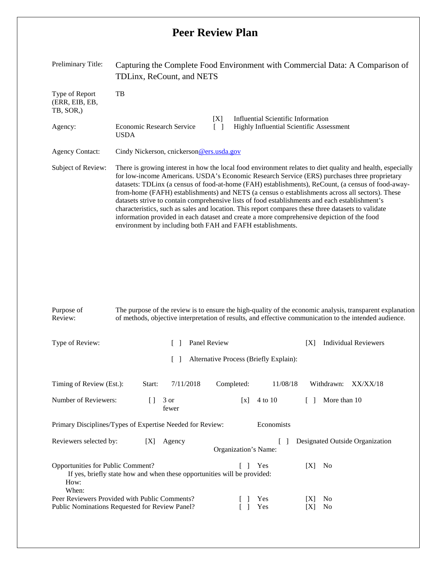## **Peer Review Plan**

| Preliminary Title:                                       | Capturing the Complete Food Environment with Commercial Data: A Comparison of<br>TDLinx, ReCount, and NETS                                                                                                                                                                                                                                                                                                                                                                                                                                                                                                                                                                                                                                                                              |  |  |  |  |  |  |
|----------------------------------------------------------|-----------------------------------------------------------------------------------------------------------------------------------------------------------------------------------------------------------------------------------------------------------------------------------------------------------------------------------------------------------------------------------------------------------------------------------------------------------------------------------------------------------------------------------------------------------------------------------------------------------------------------------------------------------------------------------------------------------------------------------------------------------------------------------------|--|--|--|--|--|--|
| Type of Report<br>(ERR, EIB, EB,<br>TB, SOR,)<br>Agency: | TB<br>Influential Scientific Information<br>[X]<br><b>Economic Research Service</b><br>Highly Influential Scientific Assessment<br><b>USDA</b>                                                                                                                                                                                                                                                                                                                                                                                                                                                                                                                                                                                                                                          |  |  |  |  |  |  |
| <b>Agency Contact:</b>                                   | Cindy Nickerson, cnickerson @ers.usda.gov                                                                                                                                                                                                                                                                                                                                                                                                                                                                                                                                                                                                                                                                                                                                               |  |  |  |  |  |  |
| Subject of Review:                                       | There is growing interest in how the local food environment relates to diet quality and health, especially<br>for low-income Americans. USDA's Economic Research Service (ERS) purchases three proprietary<br>datasets: TDLinx (a census of food-at-home (FAH) establishments), ReCount, (a census of food-away-<br>from-home (FAFH) establishments) and NETS (a census o establishments across all sectors). These<br>datasets strive to contain comprehensive lists of food establishments and each establishment's<br>characteristics, such as sales and location. This report compares these three datasets to validate<br>information provided in each dataset and create a more comprehensive depiction of the food<br>environment by including both FAH and FAFH establishments. |  |  |  |  |  |  |

| Type of Review:                                                                                                                                           |        | Panel Review  |                      |                                        | ΙXΙ        | <b>Individual Reviewers</b>      |  |  |
|-----------------------------------------------------------------------------------------------------------------------------------------------------------|--------|---------------|----------------------|----------------------------------------|------------|----------------------------------|--|--|
|                                                                                                                                                           |        |               |                      | Alternative Process (Briefly Explain): |            |                                  |  |  |
| Timing of Review (Est.):                                                                                                                                  | Start: | 7/11/2018     | Completed:           | 11/08/18                               |            | Withdrawn:<br>XX/XX/18           |  |  |
| Number of Reviewers:                                                                                                                                      | $\Box$ | 3 or<br>fewer | $\lceil x \rceil$    | 4 to 10                                |            | More than 10                     |  |  |
| Economists<br>Primary Disciplines/Types of Expertise Needed for Review:                                                                                   |        |               |                      |                                        |            |                                  |  |  |
| Reviewers selected by:                                                                                                                                    | X      | Agency        | Organization's Name: |                                        |            | Designated Outside Organization  |  |  |
| <b>Opportunities for Public Comment?</b><br>Yes<br>[X]<br>No<br>If yes, briefly state how and when these opportunities will be provided:<br>How:<br>When: |        |               |                      |                                        |            |                                  |  |  |
| Peer Reviewers Provided with Public Comments?<br>Public Nominations Requested for Review Panel?                                                           |        |               |                      | <b>Yes</b><br>Yes                      | IXI<br>IXI | N <sub>0</sub><br>N <sub>0</sub> |  |  |

The purpose of the review is to ensure the high-quality of the economic analysis, transparent explanation of methods, objective interpretation of results, and effective communication to the intended audience.

Purpose of Review: